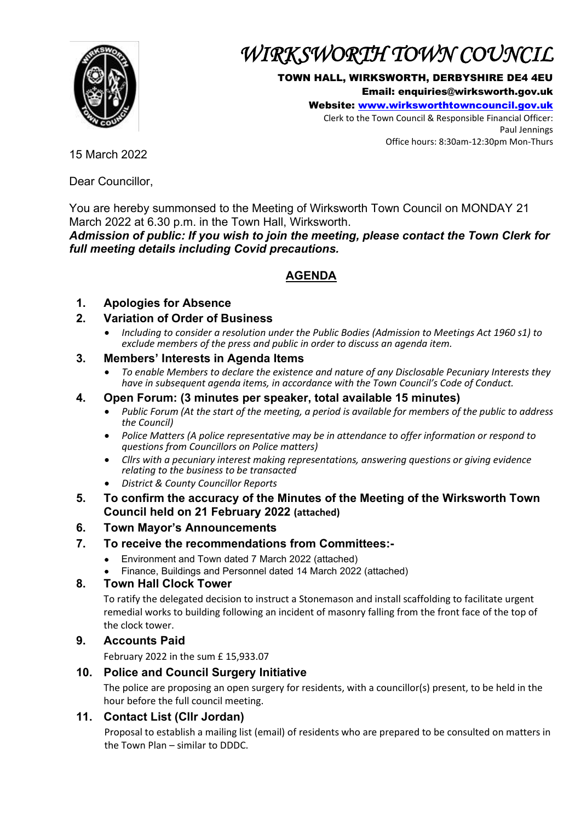

# *WIRKSWORTH TOWN COUNCIL*

#### TOWN HALL, WIRKSWORTH, DERBYSHIRE DE4 4EU

Email: enquiries@wirksworth.gov.uk

Website: [www.wirksworthtowncouncil.gov.uk](http://www.wirksworthtowncouncil.gov.uk/)

Clerk to the Town Council & Responsible Financial Officer: Paul Jennings Office hours: 8:30am-12:30pm Mon-Thurs

15 March 2022

Dear Councillor,

You are hereby summonsed to the Meeting of Wirksworth Town Council on MONDAY 21 March 2022 at 6.30 p.m. in the Town Hall, Wirksworth.

*Admission of public: If you wish to join the meeting, please contact the Town Clerk for full meeting details including Covid precautions.*

## **AGENDA**

## **1. Apologies for Absence**

### **2. Variation of Order of Business**

• *Including to consider a resolution under the Public Bodies (Admission to Meetings Act 1960 s1) to exclude members of the press and public in order to discuss an agenda item.*

#### **3. Members' Interests in Agenda Items**

• *To enable Members to declare the existence and nature of any Disclosable Pecuniary Interests they have in subsequent agenda items, in accordance with the Town Council's Code of Conduct.* 

#### **4. Open Forum: (3 minutes per speaker, total available 15 minutes)**

- *Public Forum (At the start of the meeting, a period is available for members of the public to address the Council)*
- *Police Matters (A police representative may be in attendance to offer information or respond to questions from Councillors on Police matters)*
- *Cllrs with a pecuniary interest making representations, answering questions or giving evidence relating to the business to be transacted*
- *District & County Councillor Reports*
- **5. To confirm the accuracy of the Minutes of the Meeting of the Wirksworth Town Council held on 21 February 2022 (attached)**

## **6. Town Mayor's Announcements**

#### **7. To receive the recommendations from Committees:-**

- Environment and Town dated 7 March 2022 (attached)
- Finance, Buildings and Personnel dated 14 March 2022 (attached)

#### **8. Town Hall Clock Tower**

To ratify the delegated decision to instruct a Stonemason and install scaffolding to facilitate urgent remedial works to building following an incident of masonry falling from the front face of the top of the clock tower.

#### **9. Accounts Paid**

February 2022 in the sum £ 15,933.07

#### **10. Police and Council Surgery Initiative**

The police are proposing an open surgery for residents, with a councillor(s) present, to be held in the hour before the full council meeting.

#### **11. Contact List (Cllr Jordan)**

Proposal to establish a mailing list (email) of residents who are prepared to be consulted on matters in the Town Plan – similar to DDDC.